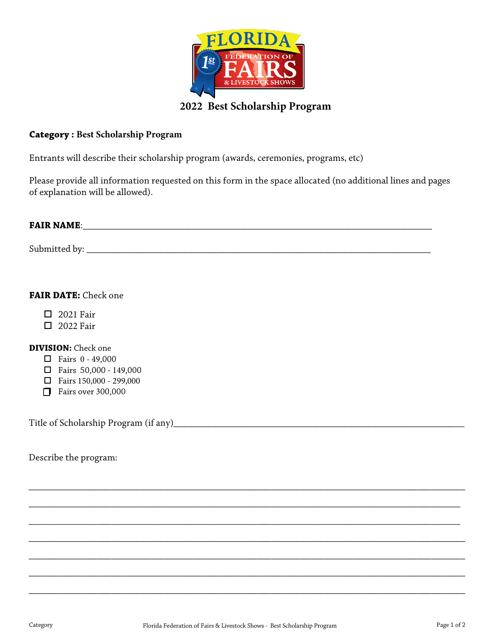

## **Category : Best Scholarship Program**

Entrants will describe their scholarship program (awards, ceremonies, programs, etc)

Please provide all information requested on this form in the space allocated (no additional lines and pages of explanation will be allowed).

# **FAIR NAME:**  $\blacksquare$

Submitted by: \_\_\_\_\_\_\_\_\_\_\_\_\_\_\_\_\_\_\_\_\_\_\_\_\_\_\_\_\_\_\_\_\_\_\_\_\_\_\_\_\_\_\_\_\_\_\_\_\_\_\_\_\_\_\_\_\_\_\_\_\_\_\_\_\_\_\_\_\_\_\_

### **FAIR DATE:** Check one

- 2021 Fair
- **D** 2022 Fair

#### **DIVISION:** Check one

- $\Box$  Fairs 0 49,000
- $\Box$  Fairs 50,000 149,000
- Fairs 150,000 299,000
- $\Box$  Fairs over 300,000

Title of Scholarship Program (if any)\_\_\_\_\_\_\_\_\_\_\_\_\_\_\_\_\_\_\_\_\_\_\_\_\_\_\_\_\_\_\_\_\_\_\_\_\_\_\_\_\_\_\_\_\_\_\_\_\_\_\_\_\_\_\_\_\_\_\_\_

Describe the program:

\_\_\_\_\_\_\_\_\_\_\_\_\_\_\_\_\_\_\_\_\_\_\_\_\_\_\_\_\_\_\_\_\_\_\_\_\_\_\_\_\_\_\_\_\_\_\_\_\_\_\_\_\_\_\_\_\_\_\_\_\_\_\_\_\_\_\_\_\_\_\_\_\_\_\_\_\_\_\_\_\_\_\_\_\_\_\_\_\_\_

\_\_\_\_\_\_\_\_\_\_\_\_\_\_\_\_\_\_\_\_\_\_\_\_\_\_\_\_\_\_\_\_\_\_\_\_\_\_\_\_\_\_\_\_\_\_\_\_\_\_\_\_\_\_\_\_\_\_\_\_\_\_\_\_\_\_\_\_\_\_\_\_\_\_\_\_\_\_\_\_\_\_\_\_\_\_\_\_\_

\_\_\_\_\_\_\_\_\_\_\_\_\_\_\_\_\_\_\_\_\_\_\_\_\_\_\_\_\_\_\_\_\_\_\_\_\_\_\_\_\_\_\_\_\_\_\_\_\_\_\_\_\_\_\_\_\_\_\_\_\_\_\_\_\_\_\_\_\_\_\_\_\_\_\_\_\_\_\_\_\_\_\_\_\_\_\_\_\_

\_\_\_\_\_\_\_\_\_\_\_\_\_\_\_\_\_\_\_\_\_\_\_\_\_\_\_\_\_\_\_\_\_\_\_\_\_\_\_\_\_\_\_\_\_\_\_\_\_\_\_\_\_\_\_\_\_\_\_\_\_\_\_\_\_\_\_\_\_\_\_\_\_\_\_\_\_\_\_\_\_\_\_\_\_\_\_\_\_\_

\_\_\_\_\_\_\_\_\_\_\_\_\_\_\_\_\_\_\_\_\_\_\_\_\_\_\_\_\_\_\_\_\_\_\_\_\_\_\_\_\_\_\_\_\_\_\_\_\_\_\_\_\_\_\_\_\_\_\_\_\_\_\_\_\_\_\_\_\_\_\_\_\_\_\_\_\_\_\_\_\_\_\_\_\_\_\_\_\_\_

\_\_\_\_\_\_\_\_\_\_\_\_\_\_\_\_\_\_\_\_\_\_\_\_\_\_\_\_\_\_\_\_\_\_\_\_\_\_\_\_\_\_\_\_\_\_\_\_\_\_\_\_\_\_\_\_\_\_\_\_\_\_\_\_\_\_\_\_\_\_\_\_\_\_\_\_\_\_\_\_\_\_\_\_\_\_\_\_\_\_

\_\_\_\_\_\_\_\_\_\_\_\_\_\_\_\_\_\_\_\_\_\_\_\_\_\_\_\_\_\_\_\_\_\_\_\_\_\_\_\_\_\_\_\_\_\_\_\_\_\_\_\_\_\_\_\_\_\_\_\_\_\_\_\_\_\_\_\_\_\_\_\_\_\_\_\_\_\_\_\_\_\_\_\_\_\_\_\_\_\_